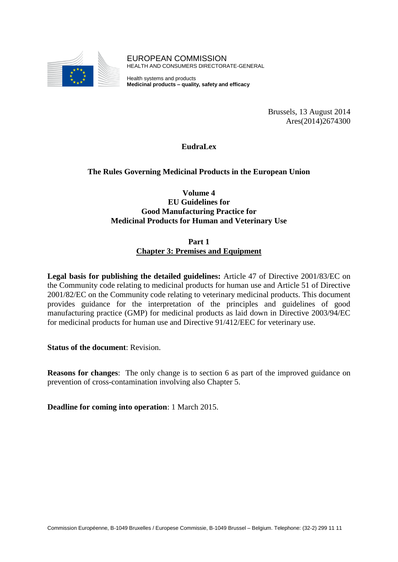

EUROPEAN COMMISSION HEALTH AND CONSUMERS DIRECTORATE-GENERAL

Health systems and products **Medicinal products – quality, safety and efficacy**

> Brussels, 13 August 2014 Ares(2014)2674300

**EudraLex**

# **The Rules Governing Medicinal Products in the European Union**

**Volume 4 EU Guidelines for Good Manufacturing Practice for Medicinal Products for Human and Veterinary Use**

> **Part 1 Chapter 3: Premises and Equipment**

**Legal basis for publishing the detailed guidelines:** Article 47 of Directive 2001/83/EC on the Community code relating to medicinal products for human use and Article 51 of Directive 2001/82/EC on the Community code relating to veterinary medicinal products. This document provides guidance for the interpretation of the principles and guidelines of good manufacturing practice (GMP) for medicinal products as laid down in Directive 2003/94/EC for medicinal products for human use and Directive 91/412/EEC for veterinary use.

**Status of the document**: Revision.

**Reasons for changes**: The only change is to section 6 as part of the improved guidance on prevention of cross-contamination involving also Chapter 5.

**Deadline for coming into operation**: 1 March 2015.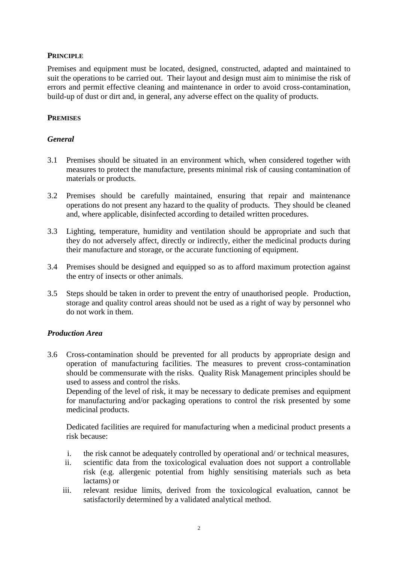#### **PRINCIPLE**

Premises and equipment must be located, designed, constructed, adapted and maintained to suit the operations to be carried out. Their layout and design must aim to minimise the risk of errors and permit effective cleaning and maintenance in order to avoid cross-contamination, build-up of dust or dirt and, in general, any adverse effect on the quality of products.

## **PREMISES**

#### *General*

- 3.1 Premises should be situated in an environment which, when considered together with measures to protect the manufacture, presents minimal risk of causing contamination of materials or products.
- 3.2 Premises should be carefully maintained, ensuring that repair and maintenance operations do not present any hazard to the quality of products. They should be cleaned and, where applicable, disinfected according to detailed written procedures.
- 3.3 Lighting, temperature, humidity and ventilation should be appropriate and such that they do not adversely affect, directly or indirectly, either the medicinal products during their manufacture and storage, or the accurate functioning of equipment.
- 3.4 Premises should be designed and equipped so as to afford maximum protection against the entry of insects or other animals.
- 3.5 Steps should be taken in order to prevent the entry of unauthorised people. Production, storage and quality control areas should not be used as a right of way by personnel who do not work in them.

#### *Production Area*

3.6 Cross-contamination should be prevented for all products by appropriate design and operation of manufacturing facilities. The measures to prevent cross-contamination should be commensurate with the risks. Quality Risk Management principles should be used to assess and control the risks.

Depending of the level of risk, it may be necessary to dedicate premises and equipment for manufacturing and/or packaging operations to control the risk presented by some medicinal products.

Dedicated facilities are required for manufacturing when a medicinal product presents a risk because:

- i. the risk cannot be adequately controlled by operational and/ or technical measures,
- ii. scientific data from the toxicological evaluation does not support a controllable risk (e.g. allergenic potential from highly sensitising materials such as beta lactams) or
- iii. relevant residue limits, derived from the toxicological evaluation, cannot be satisfactorily determined by a validated analytical method.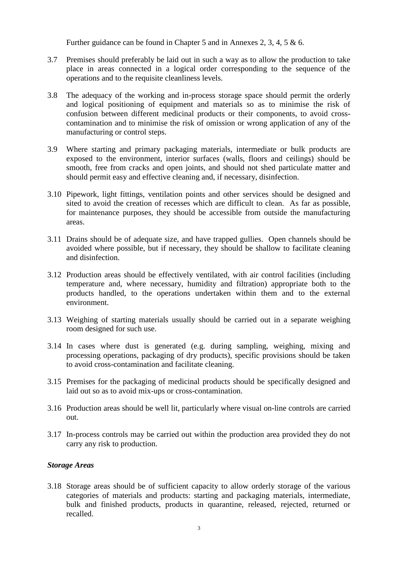Further guidance can be found in Chapter 5 and in Annexes 2, 3, 4, 5 & 6.

- 3.7 Premises should preferably be laid out in such a way as to allow the production to take place in areas connected in a logical order corresponding to the sequence of the operations and to the requisite cleanliness levels.
- 3.8 The adequacy of the working and in-process storage space should permit the orderly and logical positioning of equipment and materials so as to minimise the risk of confusion between different medicinal products or their components, to avoid crosscontamination and to minimise the risk of omission or wrong application of any of the manufacturing or control steps.
- 3.9 Where starting and primary packaging materials, intermediate or bulk products are exposed to the environment, interior surfaces (walls, floors and ceilings) should be smooth, free from cracks and open joints, and should not shed particulate matter and should permit easy and effective cleaning and, if necessary, disinfection.
- 3.10 Pipework, light fittings, ventilation points and other services should be designed and sited to avoid the creation of recesses which are difficult to clean. As far as possible, for maintenance purposes, they should be accessible from outside the manufacturing areas.
- 3.11 Drains should be of adequate size, and have trapped gullies. Open channels should be avoided where possible, but if necessary, they should be shallow to facilitate cleaning and disinfection.
- 3.12 Production areas should be effectively ventilated, with air control facilities (including temperature and, where necessary, humidity and filtration) appropriate both to the products handled, to the operations undertaken within them and to the external environment.
- 3.13 Weighing of starting materials usually should be carried out in a separate weighing room designed for such use.
- 3.14 In cases where dust is generated (e.g. during sampling, weighing, mixing and processing operations, packaging of dry products), specific provisions should be taken to avoid cross-contamination and facilitate cleaning.
- 3.15 Premises for the packaging of medicinal products should be specifically designed and laid out so as to avoid mix-ups or cross-contamination.
- 3.16 Production areas should be well lit, particularly where visual on-line controls are carried out.
- 3.17 In-process controls may be carried out within the production area provided they do not carry any risk to production.

# *Storage Areas*

3.18 Storage areas should be of sufficient capacity to allow orderly storage of the various categories of materials and products: starting and packaging materials, intermediate, bulk and finished products, products in quarantine, released, rejected, returned or recalled.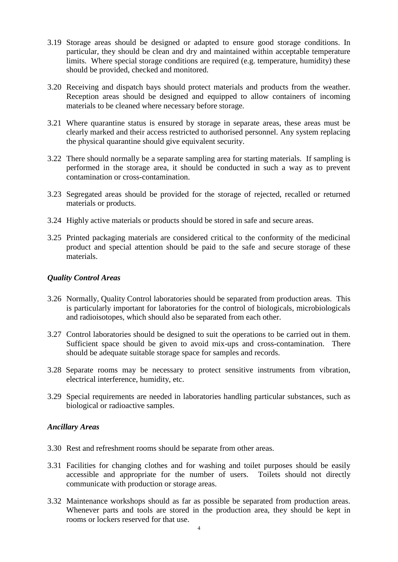- 3.19 Storage areas should be designed or adapted to ensure good storage conditions. In particular, they should be clean and dry and maintained within acceptable temperature limits. Where special storage conditions are required (e.g. temperature, humidity) these should be provided, checked and monitored.
- 3.20 Receiving and dispatch bays should protect materials and products from the weather. Reception areas should be designed and equipped to allow containers of incoming materials to be cleaned where necessary before storage.
- 3.21 Where quarantine status is ensured by storage in separate areas, these areas must be clearly marked and their access restricted to authorised personnel. Any system replacing the physical quarantine should give equivalent security.
- 3.22 There should normally be a separate sampling area for starting materials. If sampling is performed in the storage area, it should be conducted in such a way as to prevent contamination or cross-contamination.
- 3.23 Segregated areas should be provided for the storage of rejected, recalled or returned materials or products.
- 3.24 Highly active materials or products should be stored in safe and secure areas.
- 3.25 Printed packaging materials are considered critical to the conformity of the medicinal product and special attention should be paid to the safe and secure storage of these materials.

## *Quality Control Areas*

- 3.26 Normally, Quality Control laboratories should be separated from production areas. This is particularly important for laboratories for the control of biologicals, microbiologicals and radioisotopes, which should also be separated from each other.
- 3.27 Control laboratories should be designed to suit the operations to be carried out in them. Sufficient space should be given to avoid mix-ups and cross-contamination. There should be adequate suitable storage space for samples and records.
- 3.28 Separate rooms may be necessary to protect sensitive instruments from vibration, electrical interference, humidity, etc.
- 3.29 Special requirements are needed in laboratories handling particular substances, such as biological or radioactive samples.

#### *Ancillary Areas*

- 3.30 Rest and refreshment rooms should be separate from other areas.
- 3.31 Facilities for changing clothes and for washing and toilet purposes should be easily accessible and appropriate for the number of users. Toilets should not directly communicate with production or storage areas.
- 3.32 Maintenance workshops should as far as possible be separated from production areas. Whenever parts and tools are stored in the production area, they should be kept in rooms or lockers reserved for that use.